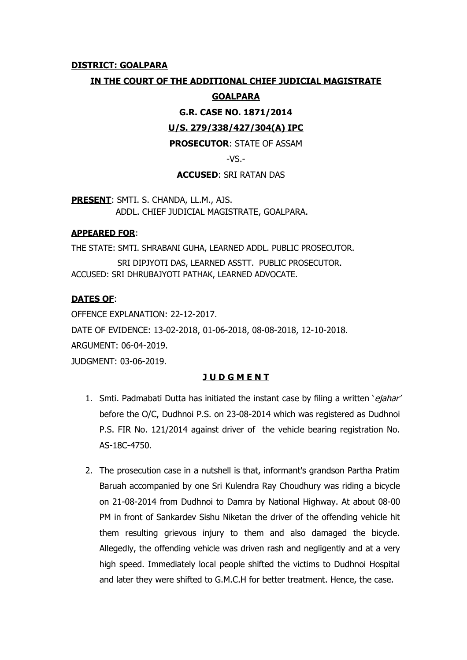## **DISTRICT: GOALPARA**

## **IN THE COURT OF THE ADDITIONAL CHIEF JUDICIAL MAGISTRATE**

### **GOALPARA**

**G.R. CASE NO. 1871/2014**

### **U/S. 279/338/427/304(A) IPC**

## **PROSECUTOR**: STATE OF ASSAM

 $-VS$ .-

### **ACCUSED**: SRI RATAN DAS

**PRESENT**: SMTI. S. CHANDA, LL.M., AJS. ADDL. CHIEF JUDICIAL MAGISTRATE, GOALPARA.

#### **APPEARED FOR**:

THE STATE: SMTI. SHRABANI GUHA, LEARNED ADDL. PUBLIC PROSECUTOR. SRI DIPJYOTI DAS, LEARNED ASSTT. PUBLIC PROSECUTOR. ACCUSED: SRI DHRUBAJYOTI PATHAK, LEARNED ADVOCATE.

### **DATES OF**:

OFFENCE EXPLANATION: 22-12-2017. DATE OF EVIDENCE: 13-02-2018, 01-06-2018, 08-08-2018, 12-10-2018. ARGUMENT: 06-04-2019. JUDGMENT: 03-06-2019.

## **J U D G M E N T**

- 1. Smti. Padmabati Dutta has initiated the instant case by filing a written 'ejahar' before the O/C, Dudhnoi P.S. on 23-08-2014 which was registered as Dudhnoi P.S. FIR No. 121/2014 against driver of the vehicle bearing registration No. AS-18C-4750.
- 2. The prosecution case in a nutshell is that, informant's grandson Partha Pratim Baruah accompanied by one Sri Kulendra Ray Choudhury was riding a bicycle on 21-08-2014 from Dudhnoi to Damra by National Highway. At about 08-00 PM in front of Sankardev Sishu Niketan the driver of the offending vehicle hit them resulting grievous injury to them and also damaged the bicycle. Allegedly, the offending vehicle was driven rash and negligently and at a very high speed. Immediately local people shifted the victims to Dudhnoi Hospital and later they were shifted to G.M.C.H for better treatment. Hence, the case.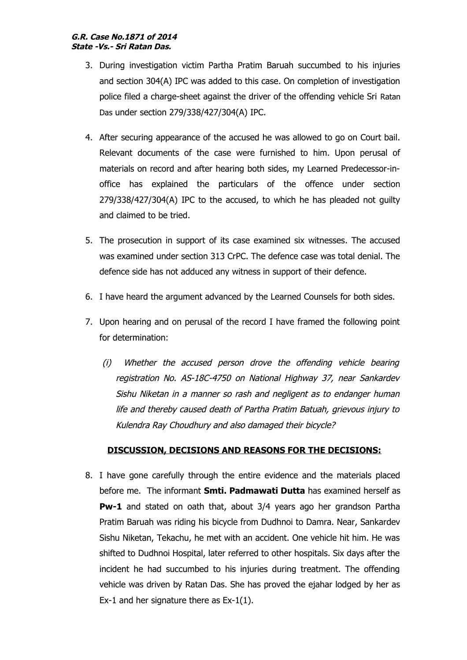- 3. During investigation victim Partha Pratim Baruah succumbed to his injuries and section 304(A) IPC was added to this case. On completion of investigation police filed a charge-sheet against the driver of the offending vehicle Sri Ratan Das under section 279/338/427/304(A) IPC.
- 4. After securing appearance of the accused he was allowed to go on Court bail. Relevant documents of the case were furnished to him. Upon perusal of materials on record and after hearing both sides, my Learned Predecessor-inoffice has explained the particulars of the offence under section 279/338/427/304(A) IPC to the accused, to which he has pleaded not guilty and claimed to be tried.
- 5. The prosecution in support of its case examined six witnesses. The accused was examined under section 313 CrPC. The defence case was total denial. The defence side has not adduced any witness in support of their defence.
- 6. I have heard the argument advanced by the Learned Counsels for both sides.
- 7. Upon hearing and on perusal of the record I have framed the following point for determination:
	- (i) Whether the accused person drove the offending vehicle bearing registration No. AS-18C-4750 on National Highway 37, near Sankardev Sishu Niketan in a manner so rash and negligent as to endanger human life and thereby caused death of Partha Pratim Batuah, grievous injury to Kulendra Ray Choudhury and also damaged their bicycle?

## **DISCUSSION, DECISIONS AND REASONS FOR THE DECISIONS:**

8. I have gone carefully through the entire evidence and the materials placed before me. The informant **Smti. Padmawati Dutta** has examined herself as **Pw-1** and stated on oath that, about 3/4 years ago her grandson Partha Pratim Baruah was riding his bicycle from Dudhnoi to Damra. Near, Sankardev Sishu Niketan, Tekachu, he met with an accident. One vehicle hit him. He was shifted to Dudhnoi Hospital, later referred to other hospitals. Six days after the incident he had succumbed to his injuries during treatment. The offending vehicle was driven by Ratan Das. She has proved the ejahar lodged by her as Ex-1 and her signature there as Ex-1(1).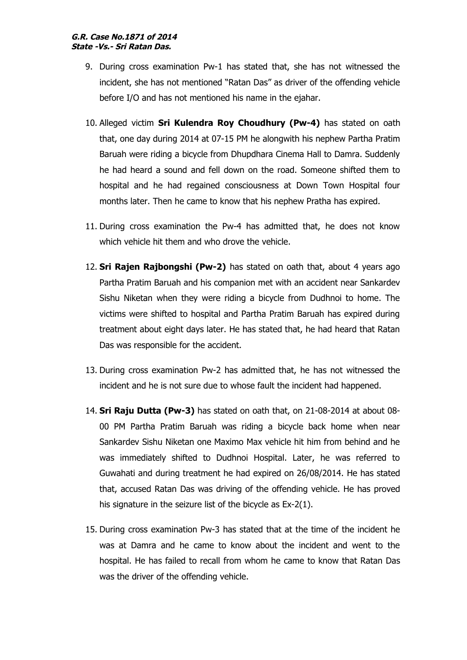#### **G.R. Case No.1871 of 2014 State -Vs.- Sri Ratan Das.**

- 9. During cross examination Pw-1 has stated that, she has not witnessed the incident, she has not mentioned "Ratan Das" as driver of the offending vehicle before I/O and has not mentioned his name in the ejahar.
- 10. Alleged victim **Sri Kulendra Roy Choudhury (Pw-4)** has stated on oath that, one day during 2014 at 07-15 PM he alongwith his nephew Partha Pratim Baruah were riding a bicycle from Dhupdhara Cinema Hall to Damra. Suddenly he had heard a sound and fell down on the road. Someone shifted them to hospital and he had regained consciousness at Down Town Hospital four months later. Then he came to know that his nephew Pratha has expired.
- 11. During cross examination the Pw-4 has admitted that, he does not know which vehicle hit them and who drove the vehicle.
- 12. **Sri Rajen Rajbongshi (Pw-2)** has stated on oath that, about 4 years ago Partha Pratim Baruah and his companion met with an accident near Sankardev Sishu Niketan when they were riding a bicycle from Dudhnoi to home. The victims were shifted to hospital and Partha Pratim Baruah has expired during treatment about eight days later. He has stated that, he had heard that Ratan Das was responsible for the accident.
- 13. During cross examination Pw-2 has admitted that, he has not witnessed the incident and he is not sure due to whose fault the incident had happened.
- 14. **Sri Raju Dutta (Pw-3)** has stated on oath that, on 21-08-2014 at about 08- 00 PM Partha Pratim Baruah was riding a bicycle back home when near Sankardev Sishu Niketan one Maximo Max vehicle hit him from behind and he was immediately shifted to Dudhnoi Hospital. Later, he was referred to Guwahati and during treatment he had expired on 26/08/2014. He has stated that, accused Ratan Das was driving of the offending vehicle. He has proved his signature in the seizure list of the bicycle as Ex-2(1).
- 15. During cross examination Pw-3 has stated that at the time of the incident he was at Damra and he came to know about the incident and went to the hospital. He has failed to recall from whom he came to know that Ratan Das was the driver of the offending vehicle.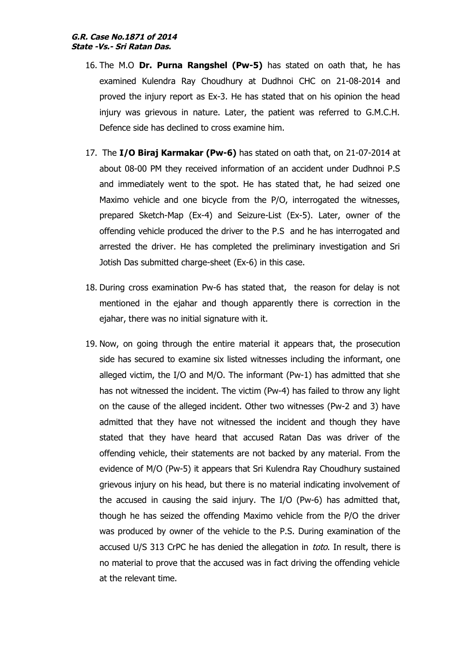#### **G.R. Case No.1871 of 2014 State -Vs.- Sri Ratan Das.**

- 16. The M.O **Dr. Purna Rangshel (Pw-5)** has stated on oath that, he has examined Kulendra Ray Choudhury at Dudhnoi CHC on 21-08-2014 and proved the injury report as Ex-3. He has stated that on his opinion the head injury was grievous in nature. Later, the patient was referred to G.M.C.H. Defence side has declined to cross examine him.
- 17. The **I/O Biraj Karmakar (Pw-6)** has stated on oath that, on 21-07-2014 at about 08-00 PM they received information of an accident under Dudhnoi P.S and immediately went to the spot. He has stated that, he had seized one Maximo vehicle and one bicycle from the P/O, interrogated the witnesses, prepared Sketch-Map (Ex-4) and Seizure-List (Ex-5). Later, owner of the offending vehicle produced the driver to the P.S and he has interrogated and arrested the driver. He has completed the preliminary investigation and Sri Jotish Das submitted charge-sheet (Ex-6) in this case.
- 18. During cross examination Pw-6 has stated that, the reason for delay is not mentioned in the ejahar and though apparently there is correction in the ejahar, there was no initial signature with it.
- 19. Now, on going through the entire material it appears that, the prosecution side has secured to examine six listed witnesses including the informant, one alleged victim, the I/O and M/O. The informant (Pw-1) has admitted that she has not witnessed the incident. The victim (Pw-4) has failed to throw any light on the cause of the alleged incident. Other two witnesses (Pw-2 and 3) have admitted that they have not witnessed the incident and though they have stated that they have heard that accused Ratan Das was driver of the offending vehicle, their statements are not backed by any material. From the evidence of M/O (Pw-5) it appears that Sri Kulendra Ray Choudhury sustained grievous injury on his head, but there is no material indicating involvement of the accused in causing the said injury. The I/O (Pw-6) has admitted that, though he has seized the offending Maximo vehicle from the P/O the driver was produced by owner of the vehicle to the P.S. During examination of the accused U/S 313 CrPC he has denied the allegation in toto. In result, there is no material to prove that the accused was in fact driving the offending vehicle at the relevant time.